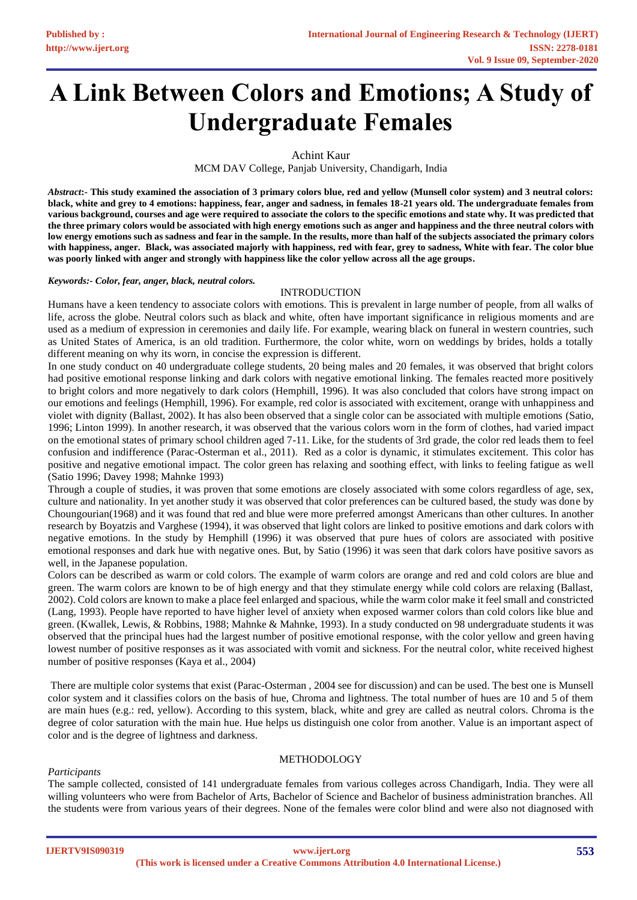# **A Link Between Colors and Emotions; A Study of Undergraduate Females**

Achint Kaur

MCM DAV College, Panjab University, Chandigarh, India

*Abstract***:- This study examined the association of 3 primary colors blue, red and yellow (Munsell color system) and 3 neutral colors: black, white and grey to 4 emotions: happiness, fear, anger and sadness, in females 18-21 years old. The undergraduate females from various background, courses and age were required to associate the colors to the specific emotions and state why. It was predicted that the three primary colors would be associated with high energy emotions such as anger and happiness and the three neutral colors with low energy emotions such as sadness and fear in the sample. In the results, more than half of the subjects associated the primary colors with happiness, anger. Black, was associated majorly with happiness, red with fear, grey to sadness, White with fear. The color blue was poorly linked with anger and strongly with happiness like the color yellow across all the age groups.**

#### *Keywords:- Color, fear, anger, black, neutral colors.*

#### INTRODUCTION

Humans have a keen tendency to associate colors with emotions. This is prevalent in large number of people, from all walks of life, across the globe. Neutral colors such as black and white, often have important significance in religious moments and are used as a medium of expression in ceremonies and daily life. For example, wearing black on funeral in western countries, such as United States of America, is an old tradition. Furthermore, the color white, worn on weddings by brides, holds a totally different meaning on why its worn, in concise the expression is different.

In one study conduct on 40 undergraduate college students, 20 being males and 20 females, it was observed that bright colors had positive emotional response linking and dark colors with negative emotional linking. The females reacted more positively to bright colors and more negatively to dark colors (Hemphill, 1996). It was also concluded that colors have strong impact on our emotions and feelings (Hemphill, 1996). For example, red color is associated with excitement, orange with unhappiness and violet with dignity (Ballast, 2002). It has also been observed that a single color can be associated with multiple emotions (Satio, 1996; Linton 1999). In another research, it was observed that the various colors worn in the form of clothes, had varied impact on the emotional states of primary school children aged 7-11. Like, for the students of 3rd grade, the color red leads them to feel confusion and indifference (Parac-Osterman et al., 2011). Red as a color is dynamic, it stimulates excitement. This color has positive and negative emotional impact. The color green has relaxing and soothing effect, with links to feeling fatigue as well (Satio 1996; Davey 1998; Mahnke 1993)

Through a couple of studies, it was proven that some emotions are closely associated with some colors regardless of age, sex, culture and nationality. In yet another study it was observed that color preferences can be cultured based, the study was done by Choungourian(1968) and it was found that red and blue were more preferred amongst Americans than other cultures. In another research by Boyatzis and Varghese (1994), it was observed that light colors are linked to positive emotions and dark colors with negative emotions. In the study by Hemphill (1996) it was observed that pure hues of colors are associated with positive emotional responses and dark hue with negative ones. But, by Satio (1996) it was seen that dark colors have positive savors as well, in the Japanese population.

Colors can be described as warm or cold colors. The example of warm colors are orange and red and cold colors are blue and green. The warm colors are known to be of high energy and that they stimulate energy while cold colors are relaxing (Ballast, 2002). Cold colors are known to make a place feel enlarged and spacious, while the warm color make it feel small and constricted (Lang, 1993). People have reported to have higher level of anxiety when exposed warmer colors than cold colors like blue and green. (Kwallek, Lewis, & Robbins, 1988; Mahnke & Mahnke, 1993). In a study conducted on 98 undergraduate students it was observed that the principal hues had the largest number of positive emotional response, with the color yellow and green having lowest number of positive responses as it was associated with vomit and sickness. For the neutral color, white received highest number of positive responses (Kaya et al., 2004)

There are multiple color systems that exist (Parac-Osterman , 2004 see for discussion) and can be used. The best one is Munsell color system and it classifies colors on the basis of hue, Chroma and lightness. The total number of hues are 10 and 5 of them are main hues (e.g.: red, yellow). According to this system, black, white and grey are called as neutral colors. Chroma is the degree of color saturation with the main hue. Hue helps us distinguish one color from another. Value is an important aspect of color and is the degree of lightness and darkness.

#### **METHODOLOGY**

#### *Participants*

The sample collected, consisted of 141 undergraduate females from various colleges across Chandigarh, India. They were all willing volunteers who were from Bachelor of Arts, Bachelor of Science and Bachelor of business administration branches. All the students were from various years of their degrees. None of the females were color blind and were also not diagnosed with

**IJERTV9IS090319**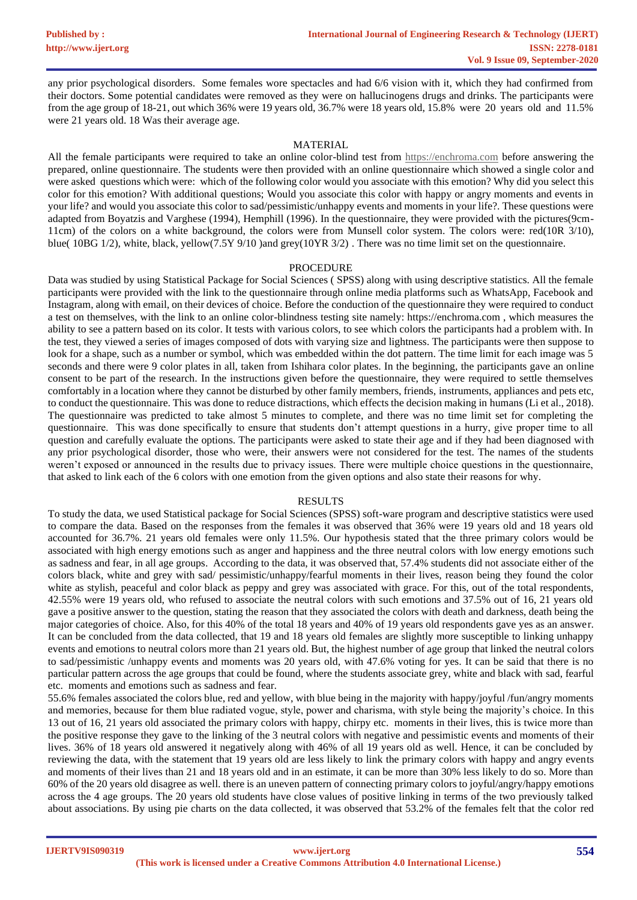any prior psychological disorders. Some females wore spectacles and had 6/6 vision with it, which they had confirmed from their doctors. Some potential candidates were removed as they were on hallucinogens drugs and drinks. The participants were from the age group of 18-21, out which 36% were 19 years old, 36.7% were 18 years old, 15.8% were 20 years old and 11.5% were 21 years old. 18 Was their average age.

#### MATERIAL

All the female participants were required to take an online color-blind test from [https://enchroma.com](https://enchroma.com/) before answering the prepared, online questionnaire. The students were then provided with an online questionnaire which showed a single color and were asked questions which were: which of the following color would you associate with this emotion? Why did you select this color for this emotion? With additional questions; Would you associate this color with happy or angry moments and events in your life? and would you associate this color to sad/pessimistic/unhappy events and moments in your life?. These questions were adapted from Boyatzis and Varghese (1994), Hemphill (1996). In the questionnaire, they were provided with the pictures(9cm-11cm) of the colors on a white background, the colors were from Munsell color system. The colors were: red(10R 3/10), blue( 10BG 1/2), white, black, yellow(7.5Y 9/10 )and grey(10YR 3/2) . There was no time limit set on the questionnaire.

#### PROCEDURE

Data was studied by using Statistical Package for Social Sciences ( SPSS) along with using descriptive statistics. All the female participants were provided with the link to the questionnaire through online media platforms such as WhatsApp, Facebook and Instagram, along with email, on their devices of choice. Before the conduction of the questionnaire they were required to conduct a test on themselves, with the link to an online color-blindness testing site namely: https://enchroma.com , which measures the ability to see a pattern based on its color. It tests with various colors, to see which colors the participants had a problem with. In the test, they viewed a series of images composed of dots with varying size and lightness. The participants were then suppose to look for a shape, such as a number or symbol, which was embedded within the dot pattern. The time limit for each image was 5 seconds and there were 9 color plates in all, taken from Ishihara color plates. In the beginning, the participants gave an online consent to be part of the research. In the instructions given before the questionnaire, they were required to settle themselves comfortably in a location where they cannot be disturbed by other family members, friends, instruments, appliances and pets etc, to conduct the questionnaire. This was done to reduce distractions, which effects the decision making in humans (Li et al., 2018). The questionnaire was predicted to take almost 5 minutes to complete, and there was no time limit set for completing the questionnaire. This was done specifically to ensure that students don't attempt questions in a hurry, give proper time to all question and carefully evaluate the options. The participants were asked to state their age and if they had been diagnosed with any prior psychological disorder, those who were, their answers were not considered for the test. The names of the students weren't exposed or announced in the results due to privacy issues. There were multiple choice questions in the questionnaire, that asked to link each of the 6 colors with one emotion from the given options and also state their reasons for why.

#### RESULTS

To study the data, we used Statistical package for Social Sciences (SPSS) soft-ware program and descriptive statistics were used to compare the data. Based on the responses from the females it was observed that 36% were 19 years old and 18 years old accounted for 36.7%. 21 years old females were only 11.5%. Our hypothesis stated that the three primary colors would be associated with high energy emotions such as anger and happiness and the three neutral colors with low energy emotions such as sadness and fear, in all age groups. According to the data, it was observed that, 57.4% students did not associate either of the colors black, white and grey with sad/ pessimistic/unhappy/fearful moments in their lives, reason being they found the color white as stylish, peaceful and color black as peppy and grey was associated with grace. For this, out of the total respondents, 42.55% were 19 years old, who refused to associate the neutral colors with such emotions and 37.5% out of 16, 21 years old gave a positive answer to the question, stating the reason that they associated the colors with death and darkness, death being the major categories of choice. Also, for this 40% of the total 18 years and 40% of 19 years old respondents gave yes as an answer. It can be concluded from the data collected, that 19 and 18 years old females are slightly more susceptible to linking unhappy events and emotions to neutral colors more than 21 years old. But, the highest number of age group that linked the neutral colors to sad/pessimistic /unhappy events and moments was 20 years old, with 47.6% voting for yes. It can be said that there is no particular pattern across the age groups that could be found, where the students associate grey, white and black with sad, fearful etc. moments and emotions such as sadness and fear.

55.6% females associated the colors blue, red and yellow, with blue being in the majority with happy/joyful /fun/angry moments and memories, because for them blue radiated vogue, style, power and charisma, with style being the majority's choice. In this 13 out of 16, 21 years old associated the primary colors with happy, chirpy etc. moments in their lives, this is twice more than the positive response they gave to the linking of the 3 neutral colors with negative and pessimistic events and moments of their lives. 36% of 18 years old answered it negatively along with 46% of all 19 years old as well. Hence, it can be concluded by reviewing the data, with the statement that 19 years old are less likely to link the primary colors with happy and angry events and moments of their lives than 21 and 18 years old and in an estimate, it can be more than 30% less likely to do so. More than 60% of the 20 years old disagree as well. there is an uneven pattern of connecting primary colors to joyful/angry/happy emotions across the 4 age groups. The 20 years old students have close values of positive linking in terms of the two previously talked about associations. By using pie charts on the data collected, it was observed that 53.2% of the females felt that the color red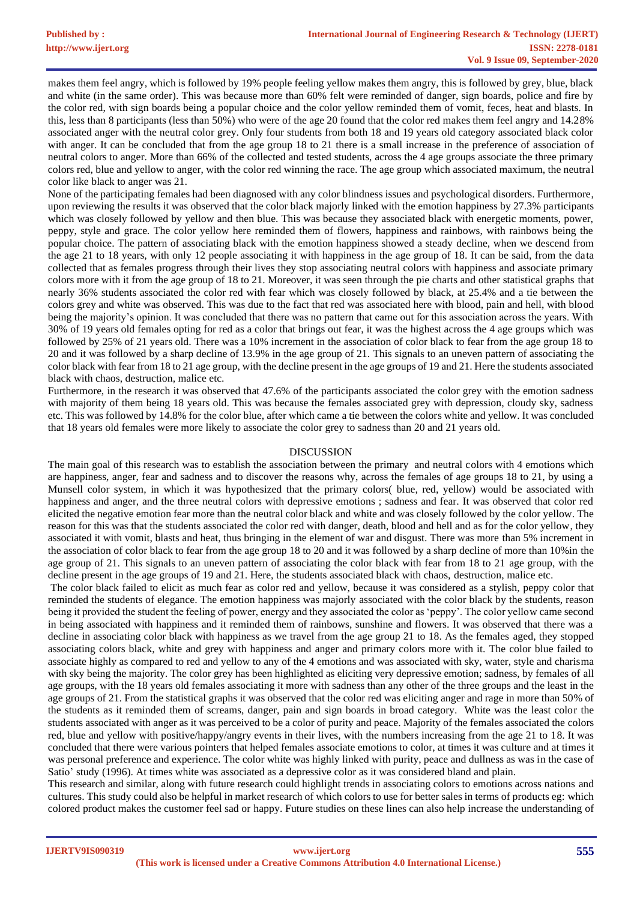makes them feel angry, which is followed by 19% people feeling yellow makes them angry, this is followed by grey, blue, black and white (in the same order). This was because more than 60% felt were reminded of danger, sign boards, police and fire by the color red, with sign boards being a popular choice and the color yellow reminded them of vomit, feces, heat and blasts. In this, less than 8 participants (less than 50%) who were of the age 20 found that the color red makes them feel angry and 14.28% associated anger with the neutral color grey. Only four students from both 18 and 19 years old category associated black color with anger. It can be concluded that from the age group 18 to 21 there is a small increase in the preference of association of neutral colors to anger. More than 66% of the collected and tested students, across the 4 age groups associate the three primary colors red, blue and yellow to anger, with the color red winning the race. The age group which associated maximum, the neutral color like black to anger was 21.

None of the participating females had been diagnosed with any color blindness issues and psychological disorders. Furthermore, upon reviewing the results it was observed that the color black majorly linked with the emotion happiness by 27.3% participants which was closely followed by yellow and then blue. This was because they associated black with energetic moments, power, peppy, style and grace. The color yellow here reminded them of flowers, happiness and rainbows, with rainbows being the popular choice. The pattern of associating black with the emotion happiness showed a steady decline, when we descend from the age 21 to 18 years, with only 12 people associating it with happiness in the age group of 18. It can be said, from the data collected that as females progress through their lives they stop associating neutral colors with happiness and associate primary colors more with it from the age group of 18 to 21. Moreover, it was seen through the pie charts and other statistical graphs that nearly 36% students associated the color red with fear which was closely followed by black, at 25.4% and a tie between the colors grey and white was observed. This was due to the fact that red was associated here with blood, pain and hell, with blood being the majority's opinion. It was concluded that there was no pattern that came out for this association across the years. With 30% of 19 years old females opting for red as a color that brings out fear, it was the highest across the 4 age groups which was followed by 25% of 21 years old. There was a 10% increment in the association of color black to fear from the age group 18 to 20 and it was followed by a sharp decline of 13.9% in the age group of 21. This signals to an uneven pattern of associating the color black with fear from 18 to 21 age group, with the decline present in the age groups of 19 and 21. Here the students associated black with chaos, destruction, malice etc.

Furthermore, in the research it was observed that 47.6% of the participants associated the color grey with the emotion sadness with majority of them being 18 years old. This was because the females associated grey with depression, cloudy sky, sadness etc. This was followed by 14.8% for the color blue, after which came a tie between the colors white and yellow. It was concluded that 18 years old females were more likely to associate the color grey to sadness than 20 and 21 years old.

#### DISCUSSION

The main goal of this research was to establish the association between the primary and neutral colors with 4 emotions which are happiness, anger, fear and sadness and to discover the reasons why, across the females of age groups 18 to 21, by using a Munsell color system, in which it was hypothesized that the primary colors( blue, red, yellow) would be associated with happiness and anger, and the three neutral colors with depressive emotions ; sadness and fear. It was observed that color red elicited the negative emotion fear more than the neutral color black and white and was closely followed by the color yellow. The reason for this was that the students associated the color red with danger, death, blood and hell and as for the color yellow, they associated it with vomit, blasts and heat, thus bringing in the element of war and disgust. There was more than 5% increment in the association of color black to fear from the age group 18 to 20 and it was followed by a sharp decline of more than 10%in the age group of 21. This signals to an uneven pattern of associating the color black with fear from 18 to 21 age group, with the decline present in the age groups of 19 and 21. Here, the students associated black with chaos, destruction, malice etc.

The color black failed to elicit as much fear as color red and yellow, because it was considered as a stylish, peppy color that reminded the students of elegance. The emotion happiness was majorly associated with the color black by the students, reason being it provided the student the feeling of power, energy and they associated the color as 'peppy'. The color yellow came second in being associated with happiness and it reminded them of rainbows, sunshine and flowers. It was observed that there was a decline in associating color black with happiness as we travel from the age group 21 to 18. As the females aged, they stopped associating colors black, white and grey with happiness and anger and primary colors more with it. The color blue failed to associate highly as compared to red and yellow to any of the 4 emotions and was associated with sky, water, style and charisma with sky being the majority. The color grey has been highlighted as eliciting very depressive emotion; sadness, by females of all age groups, with the 18 years old females associating it more with sadness than any other of the three groups and the least in the age groups of 21. From the statistical graphs it was observed that the color red was eliciting anger and rage in more than 50% of the students as it reminded them of screams, danger, pain and sign boards in broad category. White was the least color the students associated with anger as it was perceived to be a color of purity and peace. Majority of the females associated the colors red, blue and yellow with positive/happy/angry events in their lives, with the numbers increasing from the age 21 to 18. It was concluded that there were various pointers that helped females associate emotions to color, at times it was culture and at times it was personal preference and experience. The color white was highly linked with purity, peace and dullness as was in the case of Satio' study (1996). At times white was associated as a depressive color as it was considered bland and plain.

This research and similar, along with future research could highlight trends in associating colors to emotions across nations and cultures. This study could also be helpful in market research of which colors to use for better sales in terms of products eg: which colored product makes the customer feel sad or happy. Future studies on these lines can also help increase the understanding of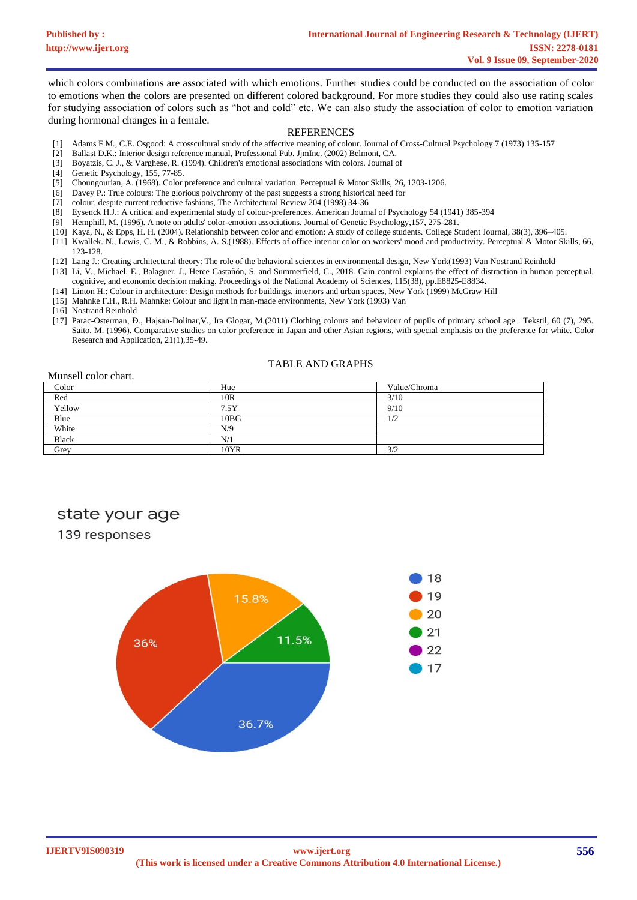which colors combinations are associated with which emotions. Further studies could be conducted on the association of color to emotions when the colors are presented on different colored background. For more studies they could also use rating scales for studying association of colors such as "hot and cold" etc. We can also study the association of color to emotion variation during hormonal changes in a female.

#### **REFERENCES**

- [1] Adams F.M., C.E. Osgood: A crosscultural study of the affective meaning of colour. Journal of Cross-Cultural Psychology 7 (1973) 135-157
- [2] Ballast D.K.: Interior design reference manual, Professional Pub. JjmInc. (2002) Belmont, CA.
- [3] Boyatzis, C. J., & Varghese, R. (1994). Children's emotional associations with colors. Journal of
- [4] Genetic Psychology, 155, 77-85.
- [5] Choungourian, A. (1968). Color preference and cultural variation. Perceptual & Motor Skills, 26, 1203-1206.
- [6] Davey P.: True colours: The glorious polychromy of the past suggests a strong historical need for
- [7] colour, despite current reductive fashions, The Architectural Review 204 (1998) 34-36
- [8] Eysenck H.J.: A critical and experimental study of colour-preferences. American Journal of Psychology 54 (1941) 385-394
- [9] Hemphill, M. (1996). A note on adults' color-emotion associations. Journal of Genetic Psychology,157, 275-281.
- [10] Kaya, N., & Epps, H. H. (2004). Relationship between color and emotion: A study of college students. College Student Journal, 38(3), 396–405.
- [11] Kwallek. N., Lewis, C. M., & Robbins, A. S.(1988). Effects of office interior color on workers' mood and productivity. Perceptual & Motor Skills, 66, 123-128.
- [12] Lang J.: Creating architectural theory: The role of the behavioral sciences in environmental design, New York(1993) Van Nostrand Reinhold [13] Li, V., Michael, E., Balaguer, J., Herce Castañón, S. and Summerfield, C., 2018. Gain control explains the effect of distraction in human perceptual,
- cognitive, and economic decision making. Proceedings of the National Academy of Sciences, 115(38), pp.E8825-E8834.
- [14] Linton H.: Colour in architecture: Design methods for buildings, interiors and urban spaces, New York (1999) McGraw Hill
- [15] Mahnke F.H., R.H. Mahnke: Colour and light in man-made environments, New York (1993) Van
- [16] Nostrand Reinhold
- [17] Parac-Osterman, Đ., Hajsan-Dolinar,V., Ira Glogar, M.(2011) Clothing colours and behaviour of pupils of primary school age . Tekstil, 60 (7), 295. Saito, M. (1996). Comparative studies on color preference in Japan and other Asian regions, with special emphasis on the preference for white. Color Research and Application, 21(1),35-49.

#### TABLE AND GRAPHS

#### Munsell color chart.

| Color        | Hue     | Value/Chroma |
|--------------|---------|--------------|
| Red          | 10R     | 3/10         |
| Yellow       | 7.5Y    | 9/10         |
| Blue         | $10B$ G | 1/2          |
| White        | N/9     |              |
| <b>Black</b> | N/1     |              |
| Grey         | 10YR    | 3/2          |

## state your age

### 139 responses